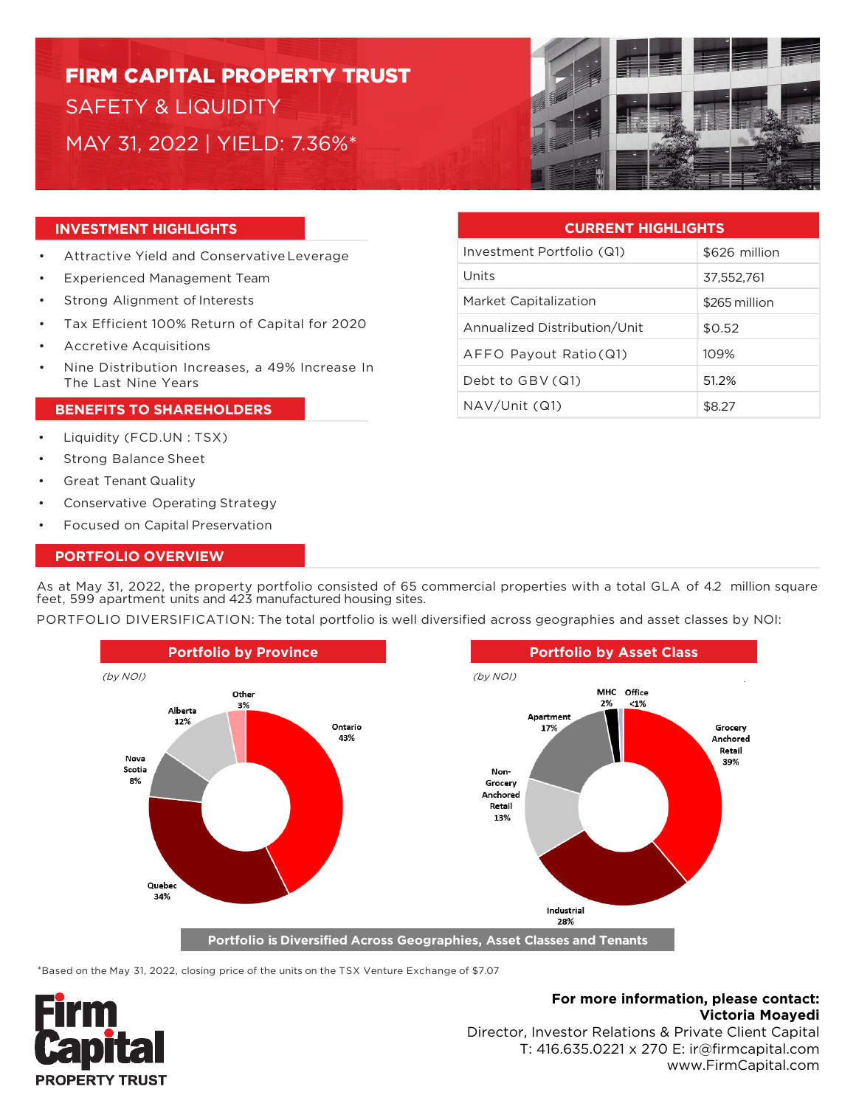# FIRM CAPITAL PROPERTY TRUST SAFETY & LIQUIDITY MAY 31, 2022 | YIELD: 7.36%\*



# **INVESTMENT HIGHLIGHTS**

- Attractive Yield and Conservative Leverage
- Experienced Management Team
- Strong Alignment of Interests
- Tax Efficient 100% Return of Capital for 2020
- Accretive Acquisitions
- Nine Distribution Increases, a 49% Increase In The Last Nine Years

### **BENEFITS TO SHAREHOLDERS**

- Liquidity (FCD.UN : TSX)
- Strong Balance Sheet
- Great Tenant Quality
- Conservative Operating Strategy
- Focused on Capital Preservation

# **PORTFOLIO OVERVIEW**

As at May 31, 2022, the property portfolio consisted of 65 commercial properties with a total GLA of 4.2 million square feet, 599 apartment units and 423 manufactured housing sites.

PORTFOLIO DIVERSIFICATION: The total portfolio is well diversified across geographies and asset classes by NOI:



\*Based on the May 31, 2022, closing price of the units on the TSX Venture Exchange of \$7.07



# **For more information, please contact: Victoria Moayedi**

Director, Investor Relations & Private Client Capital T: 416.635.0221 x 270 E: ir@firmcapital.com www.FirmCapital.com

| <b>CURRENT HIGHLIGHTS</b>    |               |
|------------------------------|---------------|
| Investment Portfolio (Q1)    | \$626 million |
| Units                        | 37.552.761    |
| Market Capitalization        | \$265 million |
| Annualized Distribution/Unit | \$0.52        |
| AFFO Payout Ratio (Q1)       | 109%          |
| Debt to GBV (Q1)             | 51.2%         |
| NAV/Unit (Q1)                | \$8.27        |